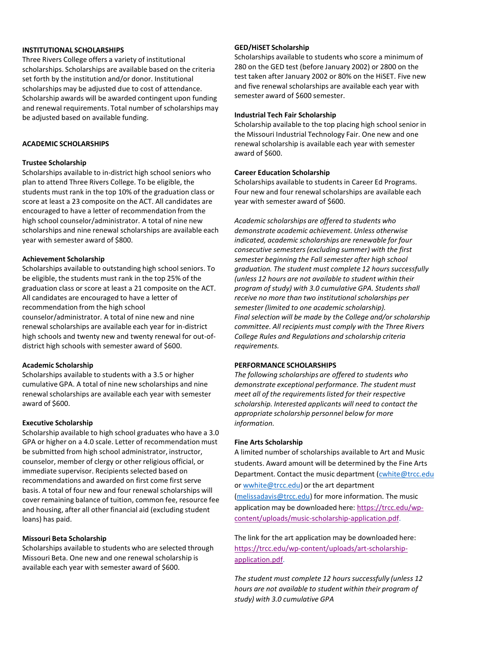## **INSTITUTIONAL SCHOLARSHIPS**

Three Rivers College offers a variety of institutional scholarships. Scholarships are available based on the criteria set forth by the institution and/or donor. Institutional scholarships may be adjusted due to cost of attendance. Scholarship awards will be awarded contingent upon funding and renewal requirements. Total number of scholarships may be adjusted based on available funding.

## **ACADEMIC SCHOLARSHIPS**

### **Trustee Scholarship**

Scholarships available to in-district high school seniors who plan to attend Three Rivers College. To be eligible, the students must rank in the top 10% of the graduation class or score at least a 23 composite on the ACT. All candidates are encouraged to have a letter of recommendation from the high school counselor/administrator. A total of nine new scholarships and nine renewal scholarships are available each year with semester award of \$800.

### **Achievement Scholarship**

Scholarships available to outstanding high school seniors. To be eligible, the students must rank in the top 25% of the graduation class or score at least a 21 composite on the ACT. All candidates are encouraged to have a letter of recommendation from the high school counselor/administrator. A total of nine new and nine renewal scholarships are available each year for in-district high schools and twenty new and twenty renewal for out-ofdistrict high schools with semester award of \$600.

## **Academic Scholarship**

Scholarships available to students with a 3.5 or higher cumulative GPA. A total of nine new scholarships and nine renewal scholarships are available each year with semester award of \$600.

## **Executive Scholarship**

Scholarship available to high school graduates who have a 3.0 GPA or higher on a 4.0 scale. Letter of recommendation must be submitted from high school administrator, instructor, counselor, member of clergy or other religious official, or immediate supervisor. Recipients selected based on recommendations and awarded on first come first serve basis. A total of four new and four renewal scholarships will cover remaining balance of tuition, common fee, resource fee and housing, after all other financial aid (excluding student loans) has paid.

## **Missouri Beta Scholarship**

Scholarships available to students who are selected through Missouri Beta. One new and one renewal scholarship is available each year with semester award of \$600.

#### **GED/HiSET Scholarship**

Scholarships available to students who score a minimum of 280 on the GED test (before January 2002) or 2800 on the test taken after January 2002 or 80% on the HiSET. Five new and five renewal scholarships are available each year with semester award of \$600 semester.

# **Industrial Tech Fair Scholarship**

Scholarship available to the top placing high school senior in the Missouri Industrial Technology Fair. One new and one renewal scholarship is available each year with semester award of \$600.

## **Career Education Scholarship**

Scholarships available to students in Career Ed Programs. Four new and four renewal scholarships are available each year with semester award of \$600.

*Academic scholarships are offered to students who demonstrate academic achievement. Unless otherwise indicated, academic scholarships are renewable for four consecutive semesters(excluding summer) with the first semester beginning the Fall semester after high school graduation. The student must complete 12 hours successfully (unless 12 hours are not available to student within their program of study) with 3.0 cumulative GPA. Students shall receive no more than two institutionalscholarships per semester (limited to one academic scholarship). Final selection will be made by the College and/or scholarship committee. All recipients must comply with the Three Rivers College Rules and Regulations and scholarship criteria requirements.*

## **PERFORMANCE SCHOLARSHIPS**

*The following scholarships are offered to students who demonstrate exceptional performance. The student must meet all of the requirementslisted for their respective scholarship. Interested applicants will need to contact the appropriate scholarship personnel below for more information.*

#### **Fine Arts Scholarship**

A limited number of scholarships available to Art and Music students. Award amount will be determined by the Fine Arts Department. Contact the music department [\(cwhite@trcc.edu](mailto:cwhite@trcc.edu) or [wwhite@trcc.edu\)](mailto:wwhite@trcc.edu) or the art department [\(melissadavis@trcc.edu\)](mailto:melissadavis@trcc.edu) for more information. The music application may be downloaded here[: https://trcc.edu/wp](https://trcc.edu/wp-content/uploads/music-scholarship-application.pdf)[content/uploads/music-scholarship-application.pdf.](https://trcc.edu/wp-content/uploads/music-scholarship-application.pdf)

The link for the art application may be downloaded here: [https://trcc.edu/wp-content/uploads/art-scholarship](https://trcc.edu/wp-content/uploads/art-scholarship-application.pdf)[application.pdf.](https://trcc.edu/wp-content/uploads/art-scholarship-application.pdf)

*The student must complete 12 hours successfully (unless 12 hours are not available to student within their program of study) with 3.0 cumulative GPA*